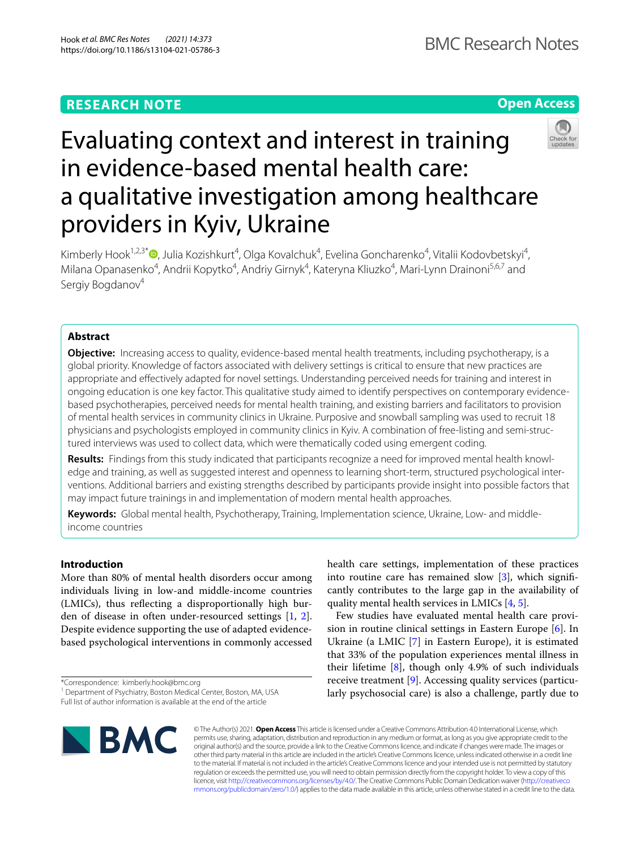## **RESEARCH NOTE**



# Evaluating context and interest in training in evidence-based mental health care: a qualitative investigation among healthcare providers in Kyiv, Ukraine

Kimberly Hook<sup>1,2,3\*</sup>®[,](http://orcid.org/0000-0003-1027-5449) Julia Kozishkurt<sup>4</sup>, Olga Kovalchuk<sup>4</sup>, Evelina Goncharenko<sup>4</sup>, Vitalii Kodovbetskyi<sup>4</sup>, Milana Opanasenko<sup>4</sup>, Andrii Kopytko<sup>4</sup>, Andriy Girnyk<sup>4</sup>, Kateryna Kliuzko<sup>4</sup>, Mari-Lynn Drainoni<sup>5,6,7</sup> and Sergiy Bogdanov<sup>4</sup>

## **Abstract**

**Objective:** Increasing access to quality, evidence-based mental health treatments, including psychotherapy, is a global priority. Knowledge of factors associated with delivery settings is critical to ensure that new practices are appropriate and efectively adapted for novel settings. Understanding perceived needs for training and interest in ongoing education is one key factor. This qualitative study aimed to identify perspectives on contemporary evidencebased psychotherapies, perceived needs for mental health training, and existing barriers and facilitators to provision of mental health services in community clinics in Ukraine. Purposive and snowball sampling was used to recruit 18 physicians and psychologists employed in community clinics in Kyiv. A combination of free-listing and semi-struc‑ tured interviews was used to collect data, which were thematically coded using emergent coding.

**Results:** Findings from this study indicated that participants recognize a need for improved mental health knowl‑ edge and training, as well as suggested interest and openness to learning short-term, structured psychological inter‑ ventions. Additional barriers and existing strengths described by participants provide insight into possible factors that may impact future trainings in and implementation of modern mental health approaches.

**Keywords:** Global mental health, Psychotherapy, Training, Implementation science, Ukraine, Low- and middleincome countries

## **Introduction**

More than 80% of mental health disorders occur among individuals living in low-and middle-income countries (LMICs), thus refecting a disproportionally high burden of disease in often under-resourced settings [\[1,](#page-6-0) [2](#page-6-1)]. Despite evidence supporting the use of adapted evidencebased psychological interventions in commonly accessed

\*Correspondence: kimberly.hook@bmc.org



Few studies have evaluated mental health care provision in routine clinical settings in Eastern Europe [\[6](#page-6-5)]. In Ukraine (a LMIC [[7\]](#page-6-6) in Eastern Europe), it is estimated that 33% of the population experiences mental illness in their lifetime [[8](#page-6-7)], though only 4.9% of such individuals receive treatment [[9\]](#page-6-8). Accessing quality services (particularly psychosocial care) is also a challenge, partly due to



© The Author(s) 2021. **Open Access** This article is licensed under a Creative Commons Attribution 4.0 International License, which permits use, sharing, adaptation, distribution and reproduction in any medium or format, as long as you give appropriate credit to the original author(s) and the source, provide a link to the Creative Commons licence, and indicate if changes were made. The images or other third party material in this article are included in the article's Creative Commons licence, unless indicated otherwise in a credit line to the material. If material is not included in the article's Creative Commons licence and your intended use is not permitted by statutory regulation or exceeds the permitted use, you will need to obtain permission directly from the copyright holder. To view a copy of this licence, visit [http://creativecommons.org/licenses/by/4.0/.](http://creativecommons.org/licenses/by/4.0/) The Creative Commons Public Domain Dedication waiver ([http://creativeco](http://creativecommons.org/publicdomain/zero/1.0/) [mmons.org/publicdomain/zero/1.0/](http://creativecommons.org/publicdomain/zero/1.0/)) applies to the data made available in this article, unless otherwise stated in a credit line to the data.

<sup>&</sup>lt;sup>1</sup> Department of Psychiatry, Boston Medical Center, Boston, MA, USA

Full list of author information is available at the end of the article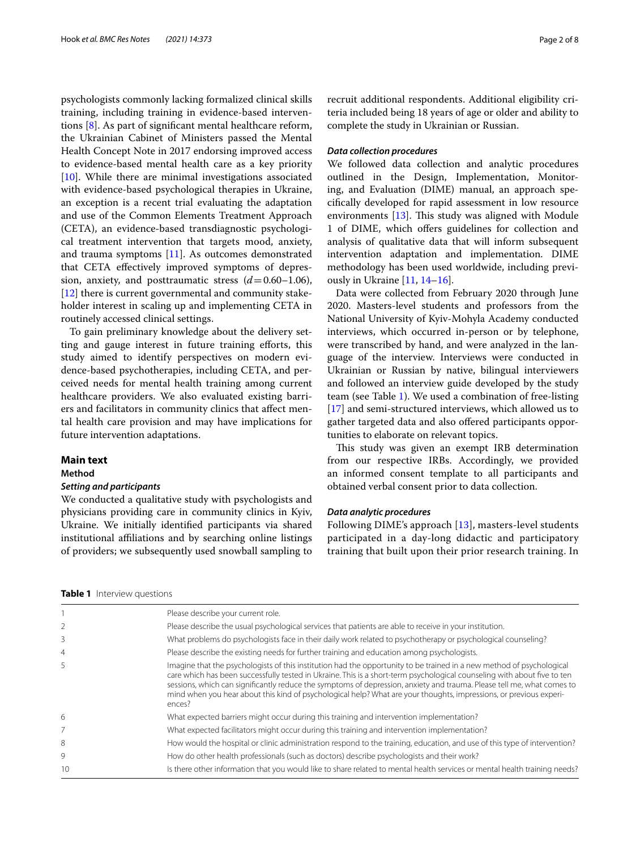psychologists commonly lacking formalized clinical skills training, including training in evidence-based interventions [[8\]](#page-6-7). As part of signifcant mental healthcare reform, the Ukrainian Cabinet of Ministers passed the Mental Health Concept Note in 2017 endorsing improved access to evidence-based mental health care as a key priority [[10\]](#page-6-9). While there are minimal investigations associated with evidence-based psychological therapies in Ukraine, an exception is a recent trial evaluating the adaptation and use of the Common Elements Treatment Approach (CETA), an evidence-based transdiagnostic psychological treatment intervention that targets mood, anxiety, and trauma symptoms [\[11](#page-6-10)]. As outcomes demonstrated that CETA efectively improved symptoms of depression, anxiety, and posttraumatic stress (*d*=0.60–1.06), [[12\]](#page-6-11) there is current governmental and community stakeholder interest in scaling up and implementing CETA in routinely accessed clinical settings.

To gain preliminary knowledge about the delivery setting and gauge interest in future training eforts, this study aimed to identify perspectives on modern evidence-based psychotherapies, including CETA, and perceived needs for mental health training among current healthcare providers. We also evaluated existing barriers and facilitators in community clinics that afect mental health care provision and may have implications for future intervention adaptations.

#### **Main text**

#### **Method**

#### *Setting and participants*

We conducted a qualitative study with psychologists and physicians providing care in community clinics in Kyiv, Ukraine. We initially identifed participants via shared institutional afliations and by searching online listings of providers; we subsequently used snowball sampling to recruit additional respondents. Additional eligibility criteria included being 18 years of age or older and ability to complete the study in Ukrainian or Russian.

## *Data collection procedures*

We followed data collection and analytic procedures outlined in the Design, Implementation, Monitoring, and Evaluation (DIME) manual, an approach specifcally developed for rapid assessment in low resource environments  $[13]$  $[13]$ . This study was aligned with Module 1 of DIME, which offers guidelines for collection and analysis of qualitative data that will inform subsequent intervention adaptation and implementation. DIME methodology has been used worldwide, including previously in Ukraine [\[11,](#page-6-10) [14](#page-6-13)[–16](#page-6-14)].

Data were collected from February 2020 through June 2020. Masters-level students and professors from the National University of Kyiv-Mohyla Academy conducted interviews, which occurred in-person or by telephone, were transcribed by hand, and were analyzed in the language of the interview. Interviews were conducted in Ukrainian or Russian by native, bilingual interviewers and followed an interview guide developed by the study team (see Table [1](#page-1-0)). We used a combination of free-listing [[17\]](#page-6-15) and semi-structured interviews, which allowed us to gather targeted data and also ofered participants opportunities to elaborate on relevant topics.

This study was given an exempt IRB determination from our respective IRBs. Accordingly, we provided an informed consent template to all participants and obtained verbal consent prior to data collection.

## *Data analytic procedures*

Following DIME's approach [[13\]](#page-6-12), masters-level students participated in a day-long didactic and participatory training that built upon their prior research training. In

<span id="page-1-0"></span>

|  |  | <b>Table 1</b> Interview questions |
|--|--|------------------------------------|
|--|--|------------------------------------|

|                | Please describe your current role.                                                                                                                                                                                                                                                                                                                                                                                                                                                                          |
|----------------|-------------------------------------------------------------------------------------------------------------------------------------------------------------------------------------------------------------------------------------------------------------------------------------------------------------------------------------------------------------------------------------------------------------------------------------------------------------------------------------------------------------|
|                | Please describe the usual psychological services that patients are able to receive in your institution.                                                                                                                                                                                                                                                                                                                                                                                                     |
| 3              | What problems do psychologists face in their daily work related to psychotherapy or psychological counseling?                                                                                                                                                                                                                                                                                                                                                                                               |
| $\overline{4}$ | Please describe the existing needs for further training and education among psychologists.                                                                                                                                                                                                                                                                                                                                                                                                                  |
| 5              | Imagine that the psychologists of this institution had the opportunity to be trained in a new method of psychological<br>care which has been successfully tested in Ukraine. This is a short-term psychological counseling with about five to ten<br>sessions, which can significantly reduce the symptoms of depression, anxiety and trauma. Please tell me, what comes to<br>mind when you hear about this kind of psychological help? What are your thoughts, impressions, or previous experi-<br>ences? |
| 6              | What expected barriers might occur during this training and intervention implementation?                                                                                                                                                                                                                                                                                                                                                                                                                    |
|                | What expected facilitators might occur during this training and intervention implementation?                                                                                                                                                                                                                                                                                                                                                                                                                |
| 8              | How would the hospital or clinic administration respond to the training, education, and use of this type of intervention?                                                                                                                                                                                                                                                                                                                                                                                   |
| 9              | How do other health professionals (such as doctors) describe psychologists and their work?                                                                                                                                                                                                                                                                                                                                                                                                                  |
| 10             | Is there other information that you would like to share related to mental health services or mental health training needs?                                                                                                                                                                                                                                                                                                                                                                                  |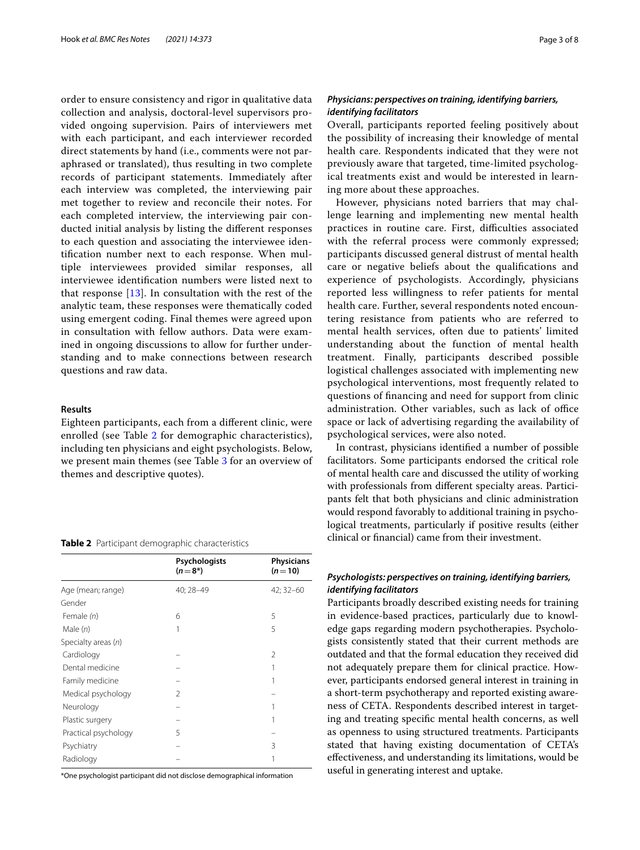order to ensure consistency and rigor in qualitative data collection and analysis, doctoral-level supervisors provided ongoing supervision. Pairs of interviewers met with each participant, and each interviewer recorded direct statements by hand (i.e., comments were not paraphrased or translated), thus resulting in two complete records of participant statements. Immediately after each interview was completed, the interviewing pair met together to review and reconcile their notes. For each completed interview, the interviewing pair conducted initial analysis by listing the diferent responses to each question and associating the interviewee identifcation number next to each response. When multiple interviewees provided similar responses, all interviewee identifcation numbers were listed next to that response  $[13]$  $[13]$ . In consultation with the rest of the analytic team, these responses were thematically coded using emergent coding. Final themes were agreed upon in consultation with fellow authors. Data were examined in ongoing discussions to allow for further understanding and to make connections between research questions and raw data.

## **Results**

Eighteen participants, each from a diferent clinic, were enrolled (see Table [2](#page-2-0) for demographic characteristics), including ten physicians and eight psychologists. Below, we present main themes (see Table [3](#page-3-0) for an overview of themes and descriptive quotes).

#### <span id="page-2-0"></span>**Table 2** Participant demographic characteristics

|                      | Psychologists<br>$(n=8^*)$ | <b>Physicians</b><br>$(n=10)$ |
|----------------------|----------------------------|-------------------------------|
| Age (mean; range)    | 40; 28-49                  | 42; 32-60                     |
| Gender               |                            |                               |
| Female (n)           | 6                          | 5                             |
| Male $(n)$           |                            | 5                             |
| Specialty areas (n)  |                            |                               |
| Cardiology           |                            | 2                             |
| Dental medicine      |                            |                               |
| Family medicine      |                            |                               |
| Medical psychology   | 2                          |                               |
| Neurology            |                            |                               |
| Plastic surgery      |                            |                               |
| Practical psychology | 5                          |                               |
| Psychiatry           |                            | 3                             |
| Radiology            |                            |                               |
|                      |                            |                               |

\*One psychologist participant did not disclose demographical information

## *Physicians: perspectives on training, identifying barriers, identifying facilitators*

Overall, participants reported feeling positively about the possibility of increasing their knowledge of mental health care. Respondents indicated that they were not previously aware that targeted, time-limited psychological treatments exist and would be interested in learning more about these approaches.

However, physicians noted barriers that may challenge learning and implementing new mental health practices in routine care. First, difficulties associated with the referral process were commonly expressed; participants discussed general distrust of mental health care or negative beliefs about the qualifcations and experience of psychologists. Accordingly, physicians reported less willingness to refer patients for mental health care. Further, several respondents noted encountering resistance from patients who are referred to mental health services, often due to patients' limited understanding about the function of mental health treatment. Finally, participants described possible logistical challenges associated with implementing new psychological interventions, most frequently related to questions of fnancing and need for support from clinic administration. Other variables, such as lack of office space or lack of advertising regarding the availability of psychological services, were also noted.

In contrast, physicians identifed a number of possible facilitators. Some participants endorsed the critical role of mental health care and discussed the utility of working with professionals from diferent specialty areas. Participants felt that both physicians and clinic administration would respond favorably to additional training in psychological treatments, particularly if positive results (either clinical or fnancial) came from their investment.

## *Psychologists: perspectives on training, identifying barriers, identifying facilitators*

Participants broadly described existing needs for training in evidence-based practices, particularly due to knowledge gaps regarding modern psychotherapies. Psychologists consistently stated that their current methods are outdated and that the formal education they received did not adequately prepare them for clinical practice. However, participants endorsed general interest in training in a short-term psychotherapy and reported existing awareness of CETA. Respondents described interest in targeting and treating specifc mental health concerns, as well as openness to using structured treatments. Participants stated that having existing documentation of CETA's efectiveness, and understanding its limitations, would be useful in generating interest and uptake.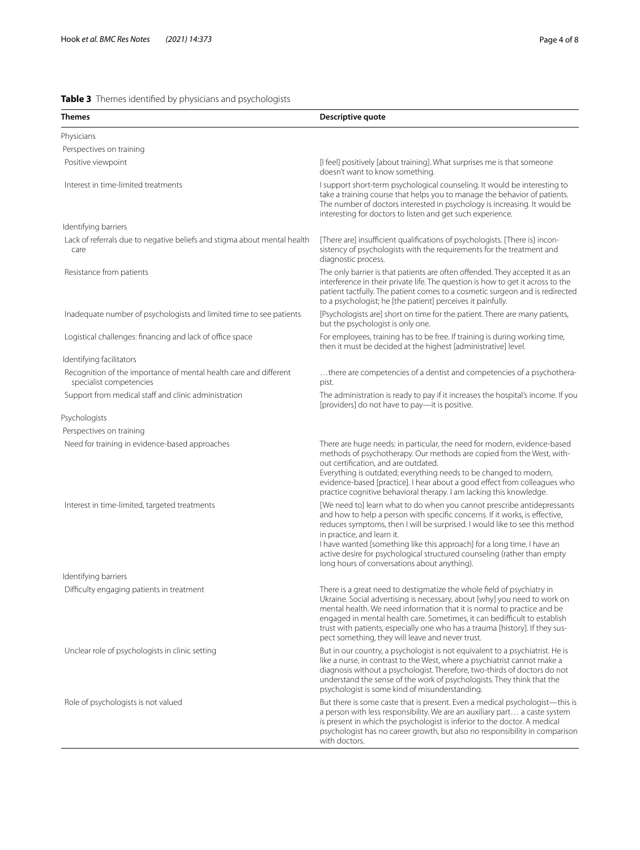## <span id="page-3-0"></span>**Table 3** Themes identifed by physicians and psychologists

| Themes                                                                                       | Descriptive quote                                                                                                                                                                                                                                                                                                                                                                                                                                                          |
|----------------------------------------------------------------------------------------------|----------------------------------------------------------------------------------------------------------------------------------------------------------------------------------------------------------------------------------------------------------------------------------------------------------------------------------------------------------------------------------------------------------------------------------------------------------------------------|
| Physicians                                                                                   |                                                                                                                                                                                                                                                                                                                                                                                                                                                                            |
| Perspectives on training                                                                     |                                                                                                                                                                                                                                                                                                                                                                                                                                                                            |
| Positive viewpoint                                                                           | [I feel] positively [about training]. What surprises me is that someone<br>doesn't want to know something.                                                                                                                                                                                                                                                                                                                                                                 |
| Interest in time-limited treatments                                                          | I support short-term psychological counseling. It would be interesting to<br>take a training course that helps you to manage the behavior of patients.<br>The number of doctors interested in psychology is increasing. It would be<br>interesting for doctors to listen and get such experience.                                                                                                                                                                          |
| Identifying barriers                                                                         |                                                                                                                                                                                                                                                                                                                                                                                                                                                                            |
| Lack of referrals due to negative beliefs and stigma about mental health<br>care             | [There are] insufficient qualifications of psychologists. [There is] incon-<br>sistency of psychologists with the requirements for the treatment and<br>diagnostic process.                                                                                                                                                                                                                                                                                                |
| Resistance from patients                                                                     | The only barrier is that patients are often offended. They accepted it as an<br>interference in their private life. The question is how to get it across to the<br>patient tactfully. The patient comes to a cosmetic surgeon and is redirected<br>to a psychologist; he [the patient] perceives it painfully.                                                                                                                                                             |
| Inadequate number of psychologists and limited time to see patients                          | [Psychologists are] short on time for the patient. There are many patients,<br>but the psychologist is only one.                                                                                                                                                                                                                                                                                                                                                           |
| Logistical challenges: financing and lack of office space                                    | For employees, training has to be free. If training is during working time,<br>then it must be decided at the highest [administrative] level.                                                                                                                                                                                                                                                                                                                              |
| Identifying facilitators                                                                     |                                                                                                                                                                                                                                                                                                                                                                                                                                                                            |
| Recognition of the importance of mental health care and different<br>specialist competencies | there are competencies of a dentist and competencies of a psychothera-<br>pist.                                                                                                                                                                                                                                                                                                                                                                                            |
| Support from medical staff and clinic administration                                         | The administration is ready to pay if it increases the hospital's income. If you<br>[providers] do not have to pay-it is positive.                                                                                                                                                                                                                                                                                                                                         |
| Psychologists                                                                                |                                                                                                                                                                                                                                                                                                                                                                                                                                                                            |
| Perspectives on training                                                                     |                                                                                                                                                                                                                                                                                                                                                                                                                                                                            |
| Need for training in evidence-based approaches                                               | There are huge needs: in particular, the need for modern, evidence-based<br>methods of psychotherapy. Our methods are copied from the West, with-<br>out certification, and are outdated.<br>Everything is outdated; everything needs to be changed to modern,<br>evidence-based [practice]. I hear about a good effect from colleagues who<br>practice cognitive behavioral therapy. I am lacking this knowledge.                                                         |
| Interest in time-limited, targeted treatments                                                | [We need to] learn what to do when you cannot prescribe antidepressants<br>and how to help a person with specific concerns. If it works, is effective,<br>reduces symptoms, then I will be surprised. I would like to see this method<br>in practice, and learn it.<br>I have wanted [something like this approach] for a long time. I have an<br>active desire for psychological structured counseling (rather than empty<br>long hours of conversations about anything). |
| Identifying barriers                                                                         |                                                                                                                                                                                                                                                                                                                                                                                                                                                                            |
| Difficulty engaging patients in treatment                                                    | There is a great need to destigmatize the whole field of psychiatry in<br>Ukraine. Social advertising is necessary, about [why] you need to work on<br>mental health. We need information that it is normal to practice and be<br>engaged in mental health care. Sometimes, it can bedifficult to establish<br>trust with patients, especially one who has a trauma [history]. If they sus-<br>pect something, they will leave and never trust.                            |
| Unclear role of psychologists in clinic setting                                              | But in our country, a psychologist is not equivalent to a psychiatrist. He is<br>like a nurse, in contrast to the West, where a psychiatrist cannot make a<br>diagnosis without a psychologist. Therefore, two-thirds of doctors do not<br>understand the sense of the work of psychologists. They think that the<br>psychologist is some kind of misunderstanding.                                                                                                        |
| Role of psychologists is not valued                                                          | But there is some caste that is present. Even a medical psychologist-this is<br>a person with less responsibility. We are an auxiliary part a caste system<br>is present in which the psychologist is inferior to the doctor. A medical<br>psychologist has no career growth, but also no responsibility in comparison<br>with doctors.                                                                                                                                    |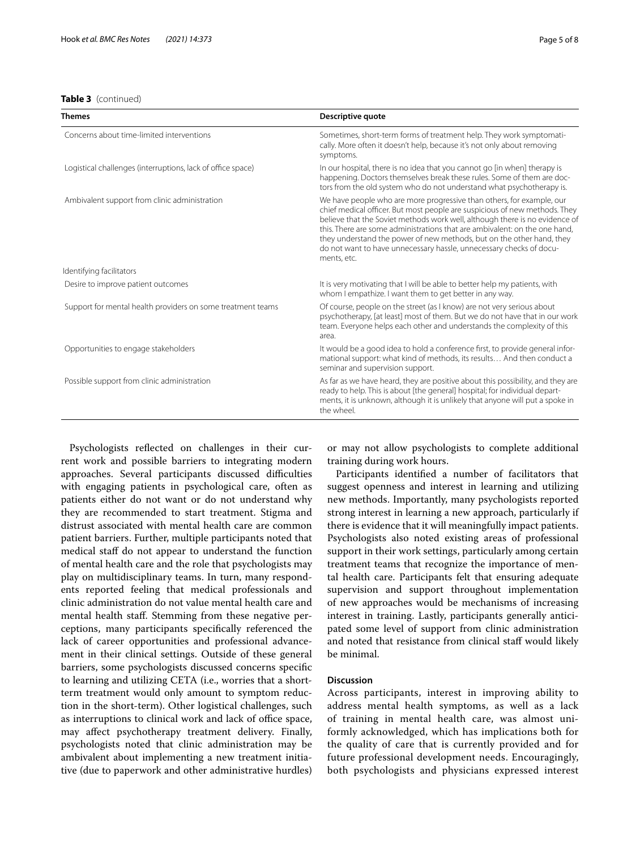## **Table 3** (continued)

| Themes                                                      | Descriptive quote                                                                                                                                                                                                                                                                                                                                                                                                                                                               |
|-------------------------------------------------------------|---------------------------------------------------------------------------------------------------------------------------------------------------------------------------------------------------------------------------------------------------------------------------------------------------------------------------------------------------------------------------------------------------------------------------------------------------------------------------------|
| Concerns about time-limited interventions                   | Sometimes, short-term forms of treatment help. They work symptomati-<br>cally. More often it doesn't help, because it's not only about removing<br>symptoms.                                                                                                                                                                                                                                                                                                                    |
| Logistical challenges (interruptions, lack of office space) | In our hospital, there is no idea that you cannot go [in when] therapy is<br>happening. Doctors themselves break these rules. Some of them are doc-<br>tors from the old system who do not understand what psychotherapy is.                                                                                                                                                                                                                                                    |
| Ambivalent support from clinic administration               | We have people who are more progressive than others, for example, our<br>chief medical officer. But most people are suspicious of new methods. They<br>believe that the Soviet methods work well, although there is no evidence of<br>this. There are some administrations that are ambivalent: on the one hand,<br>they understand the power of new methods, but on the other hand, they<br>do not want to have unnecessary hassle, unnecessary checks of docu-<br>ments, etc. |
| Identifying facilitators                                    |                                                                                                                                                                                                                                                                                                                                                                                                                                                                                 |
| Desire to improve patient outcomes                          | It is very motivating that I will be able to better help my patients, with<br>whom I empathize. I want them to get better in any way.                                                                                                                                                                                                                                                                                                                                           |
| Support for mental health providers on some treatment teams | Of course, people on the street (as I know) are not very serious about<br>psychotherapy, [at least] most of them. But we do not have that in our work<br>team. Everyone helps each other and understands the complexity of this<br>area.                                                                                                                                                                                                                                        |
| Opportunities to engage stakeholders                        | It would be a good idea to hold a conference first, to provide general infor-<br>mational support: what kind of methods, its results And then conduct a<br>seminar and supervision support.                                                                                                                                                                                                                                                                                     |
| Possible support from clinic administration                 | As far as we have heard, they are positive about this possibility, and they are<br>ready to help. This is about [the general] hospital; for individual depart-<br>ments, it is unknown, although it is unlikely that anyone will put a spoke in<br>the wheel.                                                                                                                                                                                                                   |

Psychologists refected on challenges in their current work and possible barriers to integrating modern approaches. Several participants discussed difficulties with engaging patients in psychological care, often as patients either do not want or do not understand why they are recommended to start treatment. Stigma and distrust associated with mental health care are common patient barriers. Further, multiple participants noted that medical staf do not appear to understand the function of mental health care and the role that psychologists may play on multidisciplinary teams. In turn, many respondents reported feeling that medical professionals and clinic administration do not value mental health care and mental health staff. Stemming from these negative perceptions, many participants specifcally referenced the lack of career opportunities and professional advancement in their clinical settings. Outside of these general barriers, some psychologists discussed concerns specifc to learning and utilizing CETA (i.e., worries that a shortterm treatment would only amount to symptom reduction in the short-term). Other logistical challenges, such as interruptions to clinical work and lack of office space, may afect psychotherapy treatment delivery. Finally, psychologists noted that clinic administration may be ambivalent about implementing a new treatment initiative (due to paperwork and other administrative hurdles)

or may not allow psychologists to complete additional training during work hours.

Participants identifed a number of facilitators that suggest openness and interest in learning and utilizing new methods. Importantly, many psychologists reported strong interest in learning a new approach, particularly if there is evidence that it will meaningfully impact patients. Psychologists also noted existing areas of professional support in their work settings, particularly among certain treatment teams that recognize the importance of mental health care. Participants felt that ensuring adequate supervision and support throughout implementation of new approaches would be mechanisms of increasing interest in training. Lastly, participants generally anticipated some level of support from clinic administration and noted that resistance from clinical staff would likely be minimal.

## **Discussion**

Across participants, interest in improving ability to address mental health symptoms, as well as a lack of training in mental health care, was almost uniformly acknowledged, which has implications both for the quality of care that is currently provided and for future professional development needs. Encouragingly, both psychologists and physicians expressed interest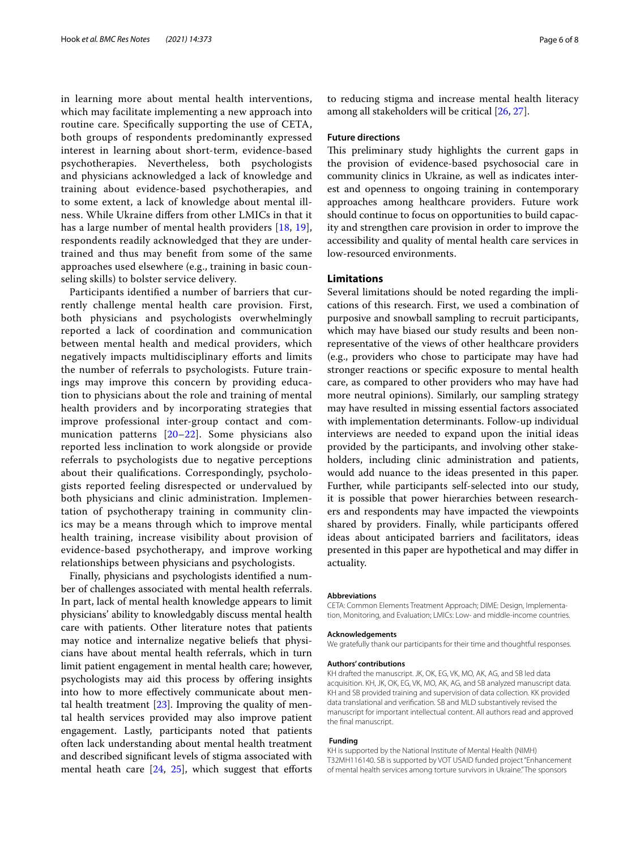in learning more about mental health interventions, which may facilitate implementing a new approach into routine care. Specifcally supporting the use of CETA, both groups of respondents predominantly expressed interest in learning about short-term, evidence-based psychotherapies. Nevertheless, both psychologists and physicians acknowledged a lack of knowledge and training about evidence-based psychotherapies, and to some extent, a lack of knowledge about mental illness. While Ukraine difers from other LMICs in that it has a large number of mental health providers [[18,](#page-6-16) [19\]](#page-6-17), respondents readily acknowledged that they are undertrained and thus may beneft from some of the same approaches used elsewhere (e.g., training in basic counseling skills) to bolster service delivery.

Participants identifed a number of barriers that currently challenge mental health care provision. First, both physicians and psychologists overwhelmingly reported a lack of coordination and communication between mental health and medical providers, which negatively impacts multidisciplinary eforts and limits the number of referrals to psychologists. Future trainings may improve this concern by providing education to physicians about the role and training of mental health providers and by incorporating strategies that improve professional inter-group contact and communication patterns [[20–](#page-6-18)[22](#page-6-19)]. Some physicians also reported less inclination to work alongside or provide referrals to psychologists due to negative perceptions about their qualifcations. Correspondingly, psychologists reported feeling disrespected or undervalued by both physicians and clinic administration. Implementation of psychotherapy training in community clinics may be a means through which to improve mental health training, increase visibility about provision of evidence-based psychotherapy, and improve working relationships between physicians and psychologists.

Finally, physicians and psychologists identifed a number of challenges associated with mental health referrals. In part, lack of mental health knowledge appears to limit physicians' ability to knowledgably discuss mental health care with patients. Other literature notes that patients may notice and internalize negative beliefs that physicians have about mental health referrals, which in turn limit patient engagement in mental health care; however, psychologists may aid this process by ofering insights into how to more efectively communicate about mental health treatment  $[23]$  $[23]$  $[23]$ . Improving the quality of mental health services provided may also improve patient engagement. Lastly, participants noted that patients often lack understanding about mental health treatment and described signifcant levels of stigma associated with mental heath care  $[24, 25]$  $[24, 25]$  $[24, 25]$ , which suggest that efforts to reducing stigma and increase mental health literacy among all stakeholders will be critical [\[26](#page-7-0), [27\]](#page-7-1).

#### **Future directions**

This preliminary study highlights the current gaps in the provision of evidence-based psychosocial care in community clinics in Ukraine, as well as indicates interest and openness to ongoing training in contemporary approaches among healthcare providers. Future work should continue to focus on opportunities to build capacity and strengthen care provision in order to improve the accessibility and quality of mental health care services in low-resourced environments.

## **Limitations**

Several limitations should be noted regarding the implications of this research. First, we used a combination of purposive and snowball sampling to recruit participants, which may have biased our study results and been nonrepresentative of the views of other healthcare providers (e.g., providers who chose to participate may have had stronger reactions or specifc exposure to mental health care, as compared to other providers who may have had more neutral opinions). Similarly, our sampling strategy may have resulted in missing essential factors associated with implementation determinants. Follow-up individual interviews are needed to expand upon the initial ideas provided by the participants, and involving other stakeholders, including clinic administration and patients, would add nuance to the ideas presented in this paper. Further, while participants self-selected into our study, it is possible that power hierarchies between researchers and respondents may have impacted the viewpoints shared by providers. Finally, while participants offered ideas about anticipated barriers and facilitators, ideas presented in this paper are hypothetical and may difer in actuality.

#### **Abbreviations**

CETA: Common Elements Treatment Approach; DIME: Design, Implementa‑ tion, Monitoring, and Evaluation; LMICs: Low- and middle-income countries.

## **Acknowledgements**

We gratefully thank our participants for their time and thoughtful responses.

#### **Authors' contributions**

KH drafted the manuscript. JK, OK, EG, VK, MO, AK, AG, and SB led data acquisition. KH, JK, OK, EG, VK, MO, AK, AG, and SB analyzed manuscript data. KH and SB provided training and supervision of data collection. KK provided data translational and verifcation. SB and MLD substantively revised the manuscript for important intellectual content. All authors read and approved the fnal manuscript.

## **Funding**

KH is supported by the National Institute of Mental Health (NIMH) T32MH116140. SB is supported by VOT USAID funded project "Enhancement of mental health services among torture survivors in Ukraine." The sponsors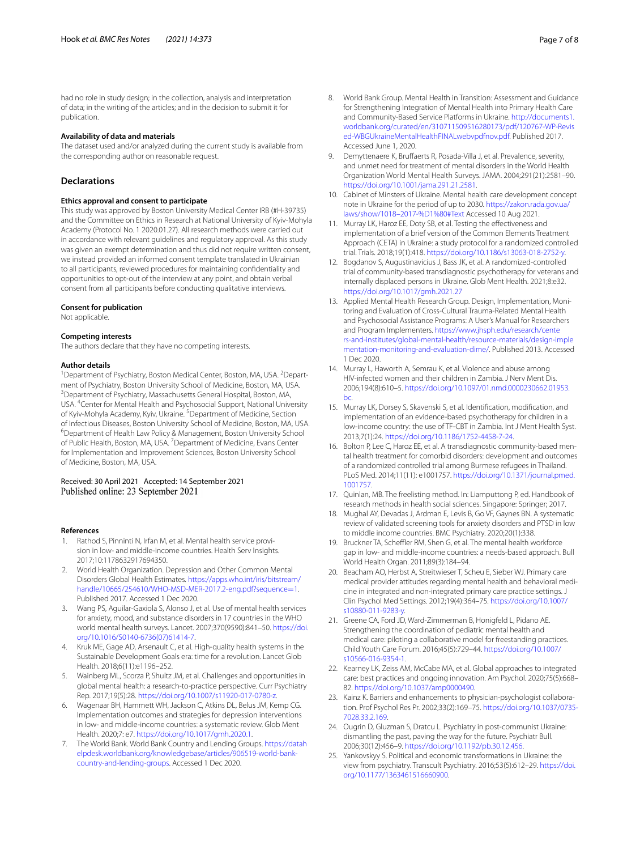had no role in study design; in the collection, analysis and interpretation of data; in the writing of the articles; and in the decision to submit it for publication.

#### **Availability of data and materials**

The dataset used and/or analyzed during the current study is available from the corresponding author on reasonable request.

## **Declarations**

#### **Ethics approval and consent to participate**

This study was approved by Boston University Medical Center IRB (#H-39735) and the Committee on Ethics in Research at National University of Kyiv-Mohyla Academy (Protocol No. 1 2020.01.27). All research methods were carried out in accordance with relevant guidelines and regulatory approval. As this study was given an exempt determination and thus did not require written consent, we instead provided an informed consent template translated in Ukrainian to all participants, reviewed procedures for maintaining confdentiality and opportunities to opt-out of the interview at any point, and obtain verbal consent from all participants before conducting qualitative interviews.

#### **Consent for publication**

Not applicable.

#### **Competing interests**

The authors declare that they have no competing interests.

#### **Author details**

<sup>1</sup> Department of Psychiatry, Boston Medical Center, Boston, MA, USA. <sup>2</sup> Department of Psychiatry, Boston University School of Medicine, Boston, MA, USA. 3 Department of Psychiatry, Massachusetts General Hospital, Boston, MA, USA. <sup>4</sup> Center for Mental Health and Psychosocial Support, National University of Kyiv-Mohyla Academy, Kyiv, Ukraine. <sup>5</sup>Department of Medicine, Section of Infectious Diseases, Boston University School of Medicine, Boston, MA, USA. 6 Department of Health Law Policy & Management, Boston University School of Public Health, Boston, MA, USA. <sup>7</sup> Department of Medicine, Evans Center for Implementation and Improvement Sciences, Boston University School of Medicine, Boston, MA, USA.

# Received: 30 April 2021 Accepted: 14 September 2021

#### **References**

- <span id="page-6-0"></span>Rathod S, Pinninti N, Irfan M, et al. Mental health service provision in low- and middle-income countries. Health Serv Insights. 2017;10:1178632917694350.
- <span id="page-6-1"></span>2. World Health Organization. Depression and Other Common Mental Disorders Global Health Estimates. [https://apps.who.int/iris/bitstream/](https://apps.who.int/iris/bitstream/handle/10665/254610/WHO-MSD-MER-2017.2-eng.pdf?sequence=1) [handle/10665/254610/WHO-MSD-MER-2017.2-eng.pdf?sequence](https://apps.who.int/iris/bitstream/handle/10665/254610/WHO-MSD-MER-2017.2-eng.pdf?sequence=1)=1. Published 2017. Accessed 1 Dec 2020.
- <span id="page-6-2"></span>3. Wang PS, Aguilar-Gaxiola S, Alonso J, et al. Use of mental health services for anxiety, mood, and substance disorders in 17 countries in the WHO world mental health surveys. Lancet. 2007;370(9590):841–50. [https://doi.](https://doi.org/10.1016/S0140-6736(07)61414-7) [org/10.1016/S0140-6736\(07\)61414-7.](https://doi.org/10.1016/S0140-6736(07)61414-7)
- <span id="page-6-3"></span>4. Kruk ME, Gage AD, Arsenault C, et al. High-quality health systems in the Sustainable Development Goals era: time for a revolution. Lancet Glob Health. 2018;6(11):e1196–252.
- <span id="page-6-4"></span>5. Wainberg ML, Scorza P, Shultz JM, et al. Challenges and opportunities in global mental health: a research-to-practice perspective. Curr Psychiatry Rep. 2017;19(5):28. [https://doi.org/10.1007/s11920-017-0780-z.](https://doi.org/10.1007/s11920-017-0780-z)
- <span id="page-6-5"></span>6. Wagenaar BH, Hammett WH, Jackson C, Atkins DL, Belus JM, Kemp CG. Implementation outcomes and strategies for depression interventions in low- and middle-income countries: a systematic review. Glob Ment Health. 2020;7: e7.<https://doi.org/10.1017/gmh.2020.1>.
- <span id="page-6-6"></span>7. The World Bank. World Bank Country and Lending Groups. [https://datah](https://datahelpdesk.worldbank.org/knowledgebase/articles/906519-world-bank-country-and-lending-groups) [elpdesk.worldbank.org/knowledgebase/articles/906519-world-bank](https://datahelpdesk.worldbank.org/knowledgebase/articles/906519-world-bank-country-and-lending-groups) [country-and-lending-groups](https://datahelpdesk.worldbank.org/knowledgebase/articles/906519-world-bank-country-and-lending-groups). Accessed 1 Dec 2020.
- <span id="page-6-7"></span>8. World Bank Group. Mental Health in Transition: Assessment and Guidance for Strengthening Integration of Mental Health into Primary Health Care and Community-Based Service Platforms in Ukraine. [http://documents1.](http://documents1.worldbank.org/curated/en/310711509516280173/pdf/120767-WP-Revised-WBGUkraineMentalHealthFINALwebvpdfnov.pdf) [worldbank.org/curated/en/310711509516280173/pdf/120767-WP-Revis](http://documents1.worldbank.org/curated/en/310711509516280173/pdf/120767-WP-Revised-WBGUkraineMentalHealthFINALwebvpdfnov.pdf) [ed-WBGUkraineMentalHealthFINALwebvpdfnov.pdf](http://documents1.worldbank.org/curated/en/310711509516280173/pdf/120767-WP-Revised-WBGUkraineMentalHealthFINALwebvpdfnov.pdf). Published 2017. Accessed June 1, 2020.
- <span id="page-6-8"></span>9. Demyttenaere K, Bruffaerts R, Posada-Villa J, et al. Prevalence, severity, and unmet need for treatment of mental disorders in the World Health Organization World Mental Health Surveys. JAMA. 2004;291(21):2581–90. [https://doi.org/10.1001/jama.291.21.2581.](https://doi.org/10.1001/jama.291.21.2581)
- <span id="page-6-9"></span>10. Cabinet of Minsters of Ukraine. Mental health care development concept note in Ukraine for the period of up to 2030. [https://zakon.rada.gov.ua/](https://zakon.rada.gov.ua/laws/show/1018–2017-%D1%80#Text) [laws/show/1018–2017-%D1%80#Text](https://zakon.rada.gov.ua/laws/show/1018–2017-%D1%80#Text) Accessed 10 Aug 2021.
- <span id="page-6-10"></span>11. Murray LK, Haroz EE, Doty SB, et al. Testing the efectiveness and implementation of a brief version of the Common Elements Treatment Approach (CETA) in Ukraine: a study protocol for a randomized controlled trial. Trials. 2018;19(1):418.<https://doi.org/10.1186/s13063-018-2752-y>.
- <span id="page-6-11"></span>12. Bogdanov S, Augustinavicius J, Bass JK, et al. A randomized-controlled trial of community-based transdiagnostic psychotherapy for veterans and internally displaced persons in Ukraine. Glob Ment Health. 2021;8:e32. <https://doi.org/10.1017/gmh.2021.27>
- <span id="page-6-12"></span>13. Applied Mental Health Research Group. Design, Implementation, Monitoring and Evaluation of Cross-Cultural Trauma-Related Mental Health and Psychosocial Assistance Programs: A User's Manual for Researchers and Program Implementers. [https://www.jhsph.edu/research/cente](https://www.jhsph.edu/research/centers-and-institutes/global-mental-health/resource-materials/design-implementation-monitoring-and-evaluation-dime/) [rs-and-institutes/global-mental-health/resource-materials/design-imple](https://www.jhsph.edu/research/centers-and-institutes/global-mental-health/resource-materials/design-implementation-monitoring-and-evaluation-dime/) [mentation-monitoring-and-evaluation-dime/](https://www.jhsph.edu/research/centers-and-institutes/global-mental-health/resource-materials/design-implementation-monitoring-and-evaluation-dime/). Published 2013. Accessed 1 Dec 2020.
- <span id="page-6-13"></span>14. Murray L, Haworth A, Semrau K, et al. Violence and abuse among HIV-infected women and their children in Zambia. J Nerv Ment Dis. 2006;194(8):610–5. [https://doi.org/10.1097/01.nmd.0000230662.01953.](https://doi.org/10.1097/01.nmd.0000230662.01953.bc) [bc](https://doi.org/10.1097/01.nmd.0000230662.01953.bc).
- 15. Murray LK, Dorsey S, Skavenski S, et al. Identifcation, modifcation, and implementation of an evidence-based psychotherapy for children in a low-income country: the use of TF-CBT in Zambia. Int J Ment Health Syst. 2013;7(1):24. <https://doi.org/10.1186/1752-4458-7-24>.
- <span id="page-6-14"></span>16. Bolton P, Lee C, Haroz EE, et al. A transdiagnostic community-based mental health treatment for comorbid disorders: development and outcomes of a randomized controlled trial among Burmese refugees in Thailand. PLoS Med. 2014;11(11): e1001757. [https://doi.org/10.1371/journal.pmed.](https://doi.org/10.1371/journal.pmed.1001757) [1001757](https://doi.org/10.1371/journal.pmed.1001757).
- <span id="page-6-15"></span>17. Quinlan, MB. The freelisting method. In: Liamputtong P, ed. Handbook of research methods in health social sciences. Singapore: Springer; 2017.
- <span id="page-6-16"></span>18. Mughal AY, Devadas J, Ardman E, Levis B, Go VF, Gaynes BN. A systematic review of validated screening tools for anxiety disorders and PTSD in low to middle income countries. BMC Psychiatry. 2020;20(1):338.
- <span id="page-6-17"></span>19. Bruckner TA, Scheffler RM, Shen G, et al. The mental health workforce gap in low- and middle-income countries: a needs-based approach. Bull World Health Organ. 2011;89(3):184–94.
- <span id="page-6-18"></span>20. Beacham AO, Herbst A, Streitwieser T, Scheu E, Sieber WJ. Primary care medical provider attitudes regarding mental health and behavioral medicine in integrated and non-integrated primary care practice settings. J Clin Psychol Med Settings. 2012;19(4):364–75. [https://doi.org/10.1007/](https://doi.org/10.1007/s10880-011-9283-y) [s10880-011-9283-y](https://doi.org/10.1007/s10880-011-9283-y).
- 21. Greene CA, Ford JD, Ward-Zimmerman B, Honigfeld L, Pidano AE. Strengthening the coordination of pediatric mental health and medical care: piloting a collaborative model for freestanding practices. Child Youth Care Forum. 2016;45(5):729–44. [https://doi.org/10.1007/](https://doi.org/10.1007/s10566-016-9354-1) [s10566-016-9354-1.](https://doi.org/10.1007/s10566-016-9354-1)
- <span id="page-6-19"></span>22. Kearney LK, Zeiss AM, McCabe MA, et al. Global approaches to integrated care: best practices and ongoing innovation. Am Psychol. 2020;75(5):668– 82.<https://doi.org/10.1037/amp0000490>.
- <span id="page-6-20"></span>23. Kainz K. Barriers and enhancements to physician-psychologist collaboration. Prof Psychol Res Pr. 2002;33(2):169–75. [https://doi.org/10.1037/0735-](https://doi.org/10.1037/0735-7028.33.2.169) [7028.33.2.169](https://doi.org/10.1037/0735-7028.33.2.169).
- <span id="page-6-21"></span>24. Ougrin D, Gluzman S, Dratcu L. Psychiatry in post-communist Ukraine: dismantling the past, paving the way for the future. Psychiatr Bull. 2006;30(12):456–9. <https://doi.org/10.1192/pb.30.12.456>.
- <span id="page-6-22"></span>25. Yankovskyy S. Political and economic transformations in Ukraine: the view from psychiatry. Transcult Psychiatry. 2016;53(5):612–29. [https://doi.](https://doi.org/10.1177/1363461516660900) [org/10.1177/1363461516660900](https://doi.org/10.1177/1363461516660900).